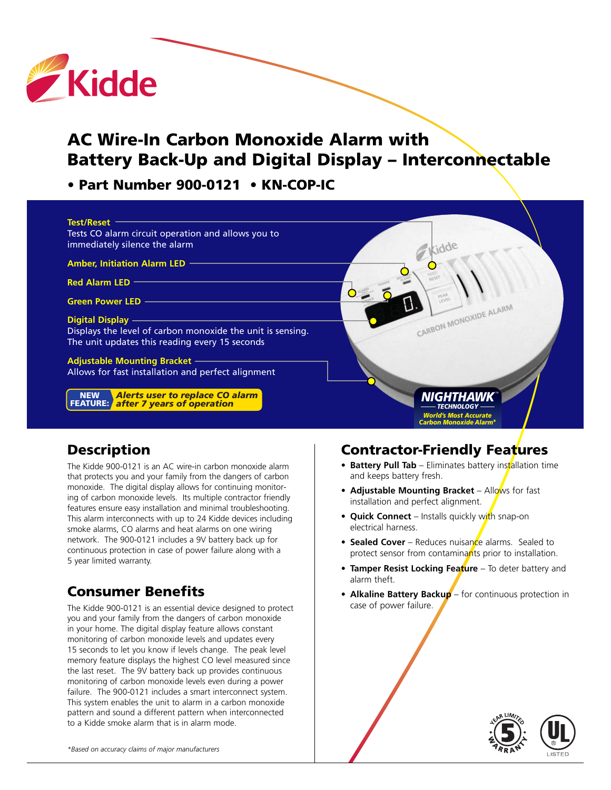

# **AC Wire-In Carbon Monoxide Alarm with Battery Back-Up and Digital Display – Interconnectable**

**• Part Number 900-0121 • KN-COP-IC** 

| <b>Test/Reset</b>                                                                        |                                                                          |
|------------------------------------------------------------------------------------------|--------------------------------------------------------------------------|
| Tests CO alarm circuit operation and allows you to                                       |                                                                          |
| immediately silence the alarm                                                            |                                                                          |
| <b>Amber, Initiation Alarm LED -</b>                                                     |                                                                          |
| <b>Red Alarm LED</b>                                                                     |                                                                          |
| <b>Green Power LED</b>                                                                   | <b>VENES</b>                                                             |
| <b>Digital Display</b>                                                                   | CARBON MONOXIDE ALARM                                                    |
| Displays the level of carbon monoxide the unit is sensing.                               |                                                                          |
| The unit updates this reading every 15 seconds                                           |                                                                          |
| <b>Adjustable Mounting Bracket -</b>                                                     |                                                                          |
| Allows for fast installation and perfect alignment                                       |                                                                          |
| <b>NEW</b>                                                                               | <b>NIGHT!)</b>                                                           |
| <b>Alerts user to replace CO alarm<br/>after 7 years of operation</b><br><b>FEATURE:</b> | TECHNOL                                                                  |
|                                                                                          | <b>World's Most Accurate</b><br><b>Carbon Monoxide Alarm<sup>*</sup></b> |

#### **Description**

The Kidde 900-0121 is an AC wire-in carbon monoxide alarm that protects you and your family from the dangers of carbon monoxide. The digital display allows for continuing monitoring of carbon monoxide levels. Its multiple contractor friendly features ensure easy installation and minimal troubleshooting. This alarm interconnects with up to 24 Kidde devices including smoke alarms, CO alarms and heat alarms on one wiring network. The 900-0121 includes a 9V battery back up for continuous protection in case of power failure along with a 5 year limited warranty.

# **Consumer Benefits**

The Kidde 900-0121 is an essential device designed to protect you and your family from the dangers of carbon monoxide in your home. The digital display feature allows constant monitoring of carbon monoxide levels and updates every 15 seconds to let you know if levels change. The peak level memory feature displays the highest CO level measured since the last reset. The 9V battery back up provides continuous monitoring of carbon monoxide levels even during a power failure. The 900-0121 includes a smart interconnect system. This system enables the unit to alarm in a carbon monoxide pattern and sound a different pattern when interconnected to a Kidde smoke alarm that is in alarm mode.

### **Contractor-Friendly Features**

- **Battery Pull Tab** Eliminates battery installation time and keeps battery fresh.
- **Adjustable Mounting Bracket** Allows for fast installation and perfect alignment.
- **• Quick Connect** Installs quickly with snap-on electrical harness.
- **• Sealed Cover** Reduces nuisance alarms. Sealed to protect sensor from contaminants prior to installation.
- **Tamper Resist Locking Feature** To deter battery and alarm theft.
- **• Alkaline Battery Backup** for continuous protection in case of power failure.



*\*Based on accuracy claims of major manufacturers*